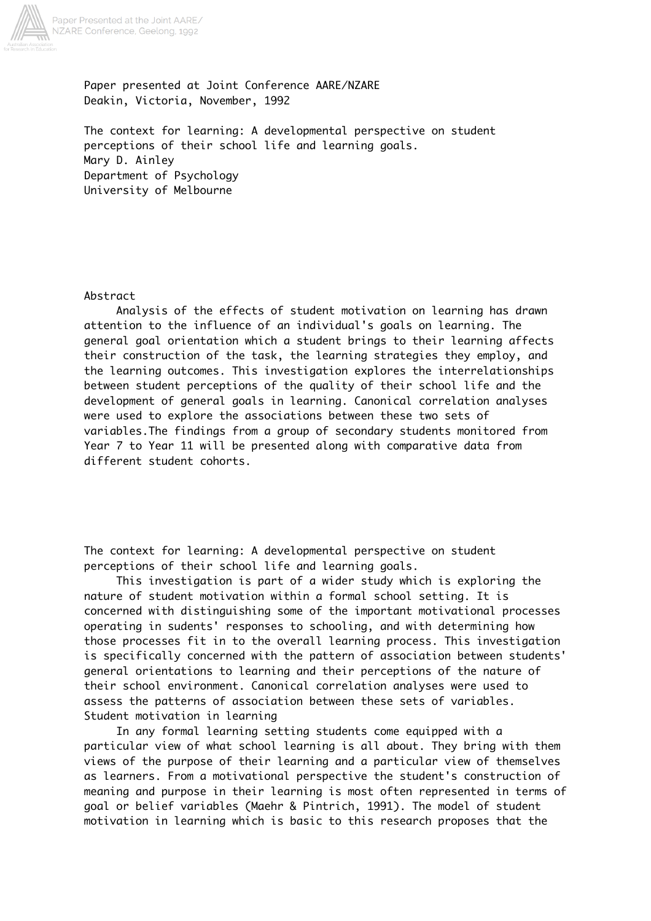

Paper presented at Joint Conference AARE/NZARE Deakin, Victoria, November, 1992

The context for learning: A developmental perspective on student perceptions of their school life and learning goals. Mary D. Ainley Department of Psychology University of Melbourne

## Abstract

 Analysis of the effects of student motivation on learning has drawn attention to the influence of an individual's goals on learning. The general goal orientation which a student brings to their learning affects their construction of the task, the learning strategies they employ, and the learning outcomes. This investigation explores the interrelationships between student perceptions of the quality of their school life and the development of general goals in learning. Canonical correlation analyses were used to explore the associations between these two sets of variables.The findings from a group of secondary students monitored from Year 7 to Year 11 will be presented along with comparative data from different student cohorts.

The context for learning: A developmental perspective on student perceptions of their school life and learning goals.

 This investigation is part of a wider study which is exploring the nature of student motivation within a formal school setting. It is concerned with distinguishing some of the important motivational processes operating in sudents' responses to schooling, and with determining how those processes fit in to the overall learning process. This investigation is specifically concerned with the pattern of association between students' general orientations to learning and their perceptions of the nature of their school environment. Canonical correlation analyses were used to assess the patterns of association between these sets of variables. Student motivation in learning

 In any formal learning setting students come equipped with a particular view of what school learning is all about. They bring with them views of the purpose of their learning and a particular view of themselves as learners. From a motivational perspective the student's construction of meaning and purpose in their learning is most often represented in terms of goal or belief variables (Maehr & Pintrich, 1991). The model of student motivation in learning which is basic to this research proposes that the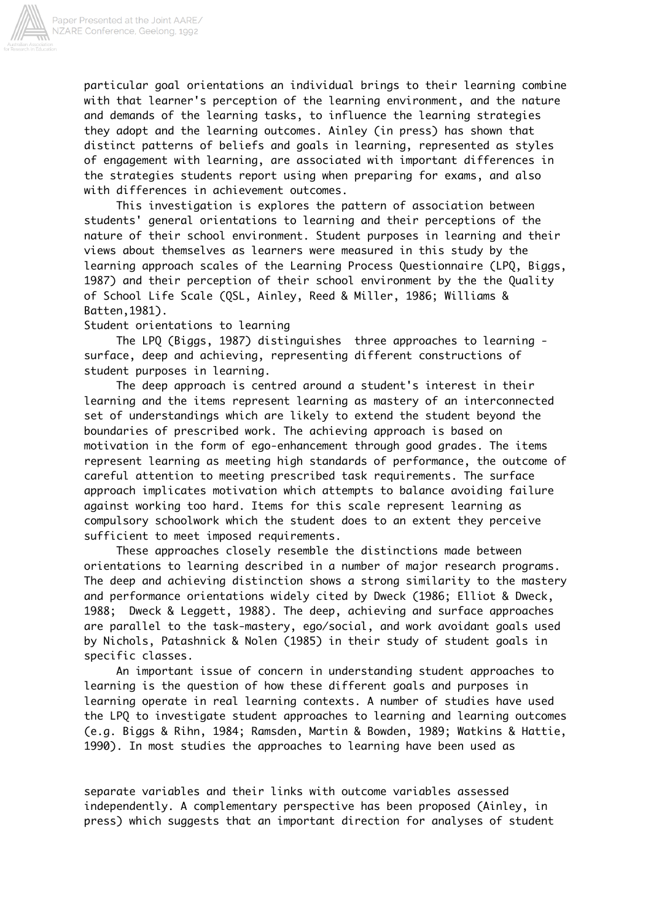

particular goal orientations an individual brings to their learning combine with that learner's perception of the learning environment, and the nature and demands of the learning tasks, to influence the learning strategies they adopt and the learning outcomes. Ainley (in press) has shown that distinct patterns of beliefs and goals in learning, represented as styles of engagement with learning, are associated with important differences in the strategies students report using when preparing for exams, and also with differences in achievement outcomes.

 This investigation is explores the pattern of association between students' general orientations to learning and their perceptions of the nature of their school environment. Student purposes in learning and their views about themselves as learners were measured in this study by the learning approach scales of the Learning Process Questionnaire (LPQ, Biggs, 1987) and their perception of their school environment by the the Quality of School Life Scale (QSL, Ainley, Reed & Miller, 1986; Williams & Batten,1981).

Student orientations to learning

 The LPQ (Biggs, 1987) distinguishes three approaches to learning surface, deep and achieving, representing different constructions of student purposes in learning.

 The deep approach is centred around a student's interest in their learning and the items represent learning as mastery of an interconnected set of understandings which are likely to extend the student beyond the boundaries of prescribed work. The achieving approach is based on motivation in the form of ego-enhancement through good grades. The items represent learning as meeting high standards of performance, the outcome of careful attention to meeting prescribed task requirements. The surface approach implicates motivation which attempts to balance avoiding failure against working too hard. Items for this scale represent learning as compulsory schoolwork which the student does to an extent they perceive sufficient to meet imposed requirements.

 These approaches closely resemble the distinctions made between orientations to learning described in a number of major research programs. The deep and achieving distinction shows a strong similarity to the mastery and performance orientations widely cited by Dweck (1986; Elliot & Dweck, 1988; Dweck & Leggett, 1988). The deep, achieving and surface approaches are parallel to the task-mastery, ego/social, and work avoidant goals used by Nichols, Patashnick & Nolen (1985) in their study of student goals in specific classes.

 An important issue of concern in understanding student approaches to learning is the question of how these different goals and purposes in learning operate in real learning contexts. A number of studies have used the LPQ to investigate student approaches to learning and learning outcomes (e.g. Biggs & Rihn, 1984; Ramsden, Martin & Bowden, 1989; Watkins & Hattie, 1990). In most studies the approaches to learning have been used as

separate variables and their links with outcome variables assessed independently. A complementary perspective has been proposed (Ainley, in press) which suggests that an important direction for analyses of student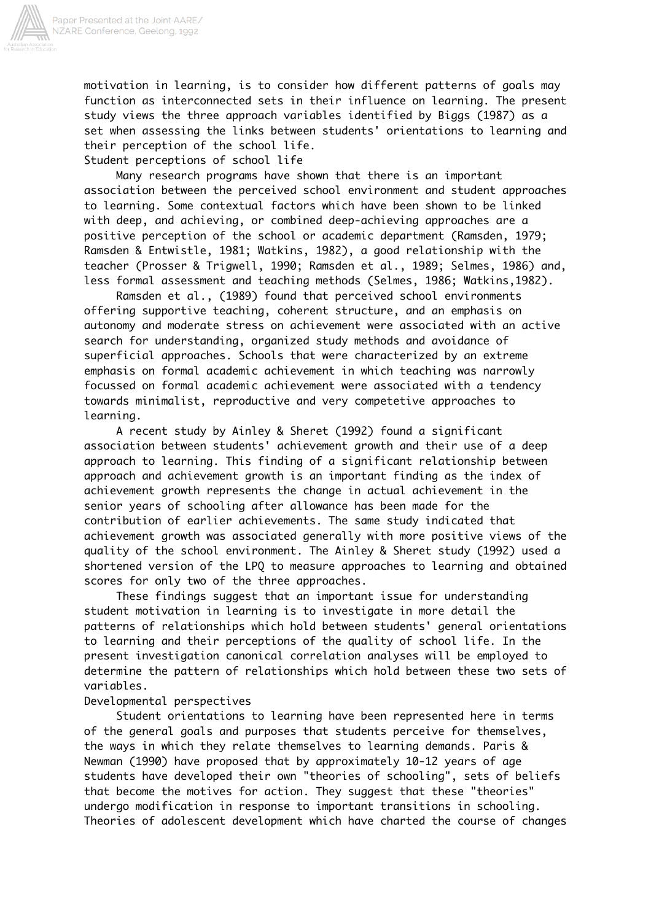

motivation in learning, is to consider how different patterns of goals may function as interconnected sets in their influence on learning. The present study views the three approach variables identified by Biggs (1987) as a set when assessing the links between students' orientations to learning and their perception of the school life.

Student perceptions of school life

 Many research programs have shown that there is an important association between the perceived school environment and student approaches to learning. Some contextual factors which have been shown to be linked with deep, and achieving, or combined deep-achieving approaches are a positive perception of the school or academic department (Ramsden, 1979; Ramsden & Entwistle, 1981; Watkins, 1982), a good relationship with the teacher (Prosser & Trigwell, 1990; Ramsden et al., 1989; Selmes, 1986) and, less formal assessment and teaching methods (Selmes, 1986; Watkins,1982).

 Ramsden et al., (1989) found that perceived school environments offering supportive teaching, coherent structure, and an emphasis on autonomy and moderate stress on achievement were associated with an active search for understanding, organized study methods and avoidance of superficial approaches. Schools that were characterized by an extreme emphasis on formal academic achievement in which teaching was narrowly focussed on formal academic achievement were associated with a tendency towards minimalist, reproductive and very competetive approaches to learning.

 A recent study by Ainley & Sheret (1992) found a significant association between students' achievement growth and their use of a deep approach to learning. This finding of a significant relationship between approach and achievement growth is an important finding as the index of achievement growth represents the change in actual achievement in the senior years of schooling after allowance has been made for the contribution of earlier achievements. The same study indicated that achievement growth was associated generally with more positive views of the quality of the school environment. The Ainley & Sheret study (1992) used a shortened version of the LPQ to measure approaches to learning and obtained scores for only two of the three approaches.

 These findings suggest that an important issue for understanding student motivation in learning is to investigate in more detail the patterns of relationships which hold between students' general orientations to learning and their perceptions of the quality of school life. In the present investigation canonical correlation analyses will be employed to determine the pattern of relationships which hold between these two sets of variables.

### Developmental perspectives

 Student orientations to learning have been represented here in terms of the general goals and purposes that students perceive for themselves, the ways in which they relate themselves to learning demands. Paris & Newman (1990) have proposed that by approximately 10-12 years of age students have developed their own "theories of schooling", sets of beliefs that become the motives for action. They suggest that these "theories" undergo modification in response to important transitions in schooling. Theories of adolescent development which have charted the course of changes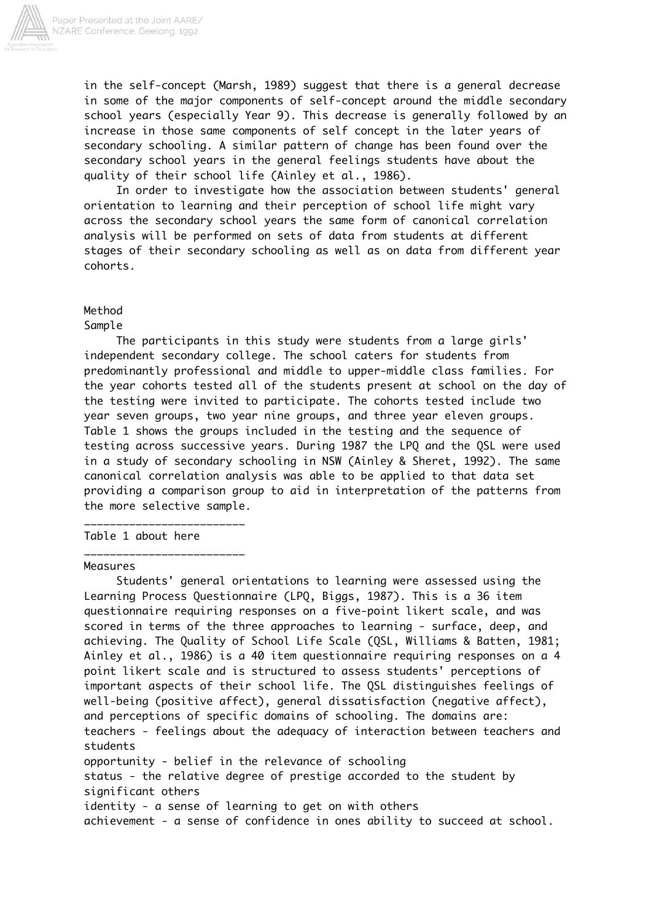

in the self-concept (Marsh, 1989) suggest that there is a general decrease in some of the major components of self-concept around the middle secondary school years (especially Year 9). This decrease is generally followed by an increase in those same components of self concept in the later years of secondary schooling. A similar pattern of change has been found over the secondary school years in the general feelings students have about the quality of their school life (Ainley et al., 1986).

 In order to investigate how the association between students' general orientation to learning and their perception of school life might vary across the secondary school years the same form of canonical correlation analysis will be performed on sets of data from students at different stages of their secondary schooling as well as on data from different year cohorts.

# Method

Sample

 The participants in this study were students from a large girls' independent secondary college. The school caters for students from predominantly professional and middle to upper-middle class families. For the year cohorts tested all of the students present at school on the day of the testing were invited to participate. The cohorts tested include two year seven groups, two year nine groups, and three year eleven groups. Table 1 shows the groups included in the testing and the sequence of testing across successive years. During 1987 the LPQ and the QSL were used in a study of secondary schooling in NSW (Ainley & Sheret, 1992). The same canonical correlation analysis was able to be applied to that data set providing a comparison group to aid in interpretation of the patterns from the more selective sample.

Table 1 about here

\_\_\_\_\_\_\_\_\_\_\_\_\_\_\_\_\_\_\_\_\_\_\_\_\_

\_\_\_\_\_\_\_\_\_\_\_\_\_\_\_\_\_\_\_\_\_\_\_\_\_

# Measures

 Students' general orientations to learning were assessed using the Learning Process Questionnaire (LPQ, Biggs, 1987). This is a 36 item questionnaire requiring responses on a five-point likert scale, and was scored in terms of the three approaches to learning - surface, deep, and achieving. The Quality of School Life Scale (QSL, Williams & Batten, 1981; Ainley et al., 1986) is a 40 item questionnaire requiring responses on a 4 point likert scale and is structured to assess students' perceptions of important aspects of their school life. The QSL distinguishes feelings of well-being (positive affect), general dissatisfaction (negative affect), and perceptions of specific domains of schooling. The domains are: teachers - feelings about the adequacy of interaction between teachers and students opportunity - belief in the relevance of schooling status - the relative degree of prestige accorded to the student by significant others identity - a sense of learning to get on with others achievement - a sense of confidence in ones ability to succeed at school.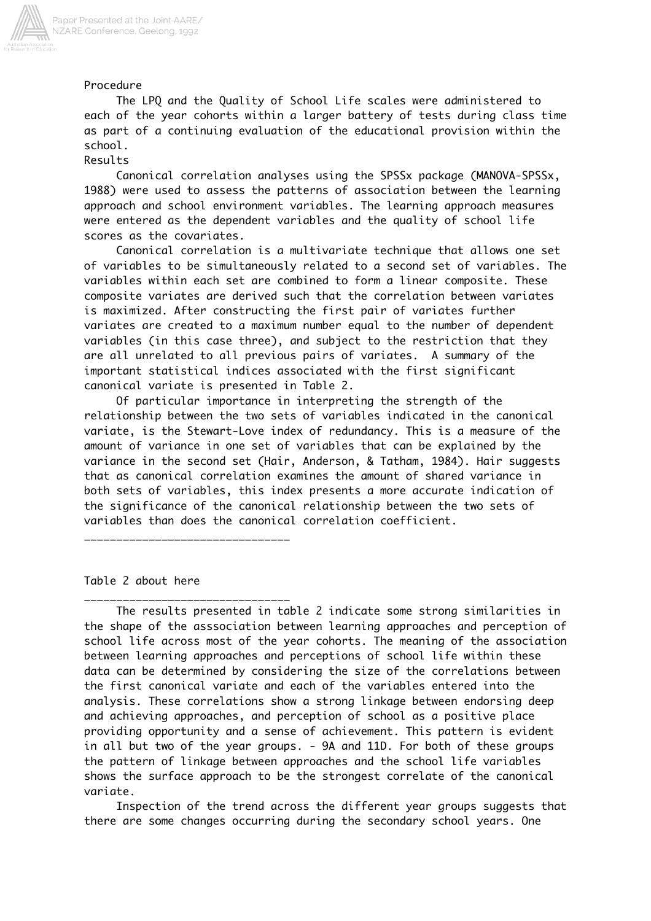

Procedure

 The LPQ and the Quality of School Life scales were administered to each of the year cohorts within a larger battery of tests during class time as part of a continuing evaluation of the educational provision within the school.

## Results

 Canonical correlation analyses using the SPSSx package (MANOVA-SPSSx, 1988) were used to assess the patterns of association between the learning approach and school environment variables. The learning approach measures were entered as the dependent variables and the quality of school life scores as the covariates.

 Canonical correlation is a multivariate technique that allows one set of variables to be simultaneously related to a second set of variables. The variables within each set are combined to form a linear composite. These composite variates are derived such that the correlation between variates is maximized. After constructing the first pair of variates further variates are created to a maximum number equal to the number of dependent variables (in this case three), and subject to the restriction that they are all unrelated to all previous pairs of variates. A summary of the important statistical indices associated with the first significant canonical variate is presented in Table 2.

 Of particular importance in interpreting the strength of the relationship between the two sets of variables indicated in the canonical variate, is the Stewart-Love index of redundancy. This is a measure of the amount of variance in one set of variables that can be explained by the variance in the second set (Hair, Anderson, & Tatham, 1984). Hair suggests that as canonical correlation examines the amount of shared variance in both sets of variables, this index presents a more accurate indication of the significance of the canonical relationship between the two sets of variables than does the canonical correlation coefficient.

\_\_\_\_\_\_\_\_\_\_\_\_\_\_\_\_\_\_\_\_\_\_\_\_\_\_\_\_\_\_\_\_

\_\_\_\_\_\_\_\_\_\_\_\_\_\_\_\_\_\_\_\_\_\_\_\_\_\_\_\_\_\_\_\_

Table 2 about here

 The results presented in table 2 indicate some strong similarities in the shape of the asssociation between learning approaches and perception of school life across most of the year cohorts. The meaning of the association between learning approaches and perceptions of school life within these data can be determined by considering the size of the correlations between the first canonical variate and each of the variables entered into the analysis. These correlations show a strong linkage between endorsing deep and achieving approaches, and perception of school as a positive place providing opportunity and a sense of achievement. This pattern is evident in all but two of the year groups. - 9A and 11D. For both of these groups the pattern of linkage between approaches and the school life variables shows the surface approach to be the strongest correlate of the canonical variate.

 Inspection of the trend across the different year groups suggests that there are some changes occurring during the secondary school years. One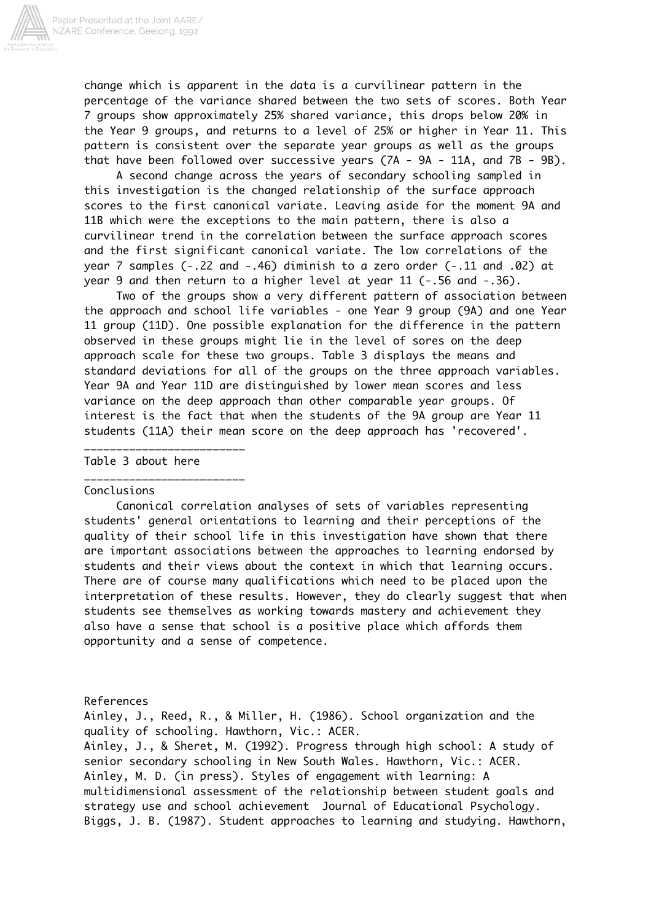

change which is apparent in the data is a curvilinear pattern in the percentage of the variance shared between the two sets of scores. Both Year 7 groups show approximately 25% shared variance, this drops below 20% in the Year 9 groups, and returns to a level of 25% or higher in Year 11. This pattern is consistent over the separate year groups as well as the groups that have been followed over successive years (7A - 9A - 11A, and 7B - 9B).

 A second change across the years of secondary schooling sampled in this investigation is the changed relationship of the surface approach scores to the first canonical variate. Leaving aside for the moment 9A and 11B which were the exceptions to the main pattern, there is also a curvilinear trend in the correlation between the surface approach scores and the first significant canonical variate. The low correlations of the year 7 samples (-.22 and -.46) diminish to a zero order (-.11 and .02) at year 9 and then return to a higher level at year 11 (-.56 and -.36).

 Two of the groups show a very different pattern of association between the approach and school life variables - one Year 9 group (9A) and one Year 11 group (11D). One possible explanation for the difference in the pattern observed in these groups might lie in the level of sores on the deep approach scale for these two groups. Table 3 displays the means and standard deviations for all of the groups on the three approach variables. Year 9A and Year 11D are distinguished by lower mean scores and less variance on the deep approach than other comparable year groups. Of interest is the fact that when the students of the 9A group are Year 11 students (11A) their mean score on the deep approach has 'recovered'.

Table 3 about here

\_\_\_\_\_\_\_\_\_\_\_\_\_\_\_\_\_\_\_\_\_\_\_\_\_

\_\_\_\_\_\_\_\_\_\_\_\_\_\_\_\_\_\_\_\_\_\_\_\_\_

#### Conclusions

 Canonical correlation analyses of sets of variables representing students' general orientations to learning and their perceptions of the quality of their school life in this investigation have shown that there are important associations between the approaches to learning endorsed by students and their views about the context in which that learning occurs. There are of course many qualifications which need to be placed upon the interpretation of these results. However, they do clearly suggest that when students see themselves as working towards mastery and achievement they also have a sense that school is a positive place which affords them opportunity and a sense of competence.

References

Ainley, J., Reed, R., & Miller, H. (1986). School organization and the quality of schooling. Hawthorn, Vic.: ACER.

Ainley, J., & Sheret, M. (1992). Progress through high school: A study of senior secondary schooling in New South Wales. Hawthorn, Vic.: ACER. Ainley, M. D. (in press). Styles of engagement with learning: A multidimensional assessment of the relationship between student goals and strategy use and school achievement Journal of Educational Psychology. Biggs, J. B. (1987). Student approaches to learning and studying. Hawthorn,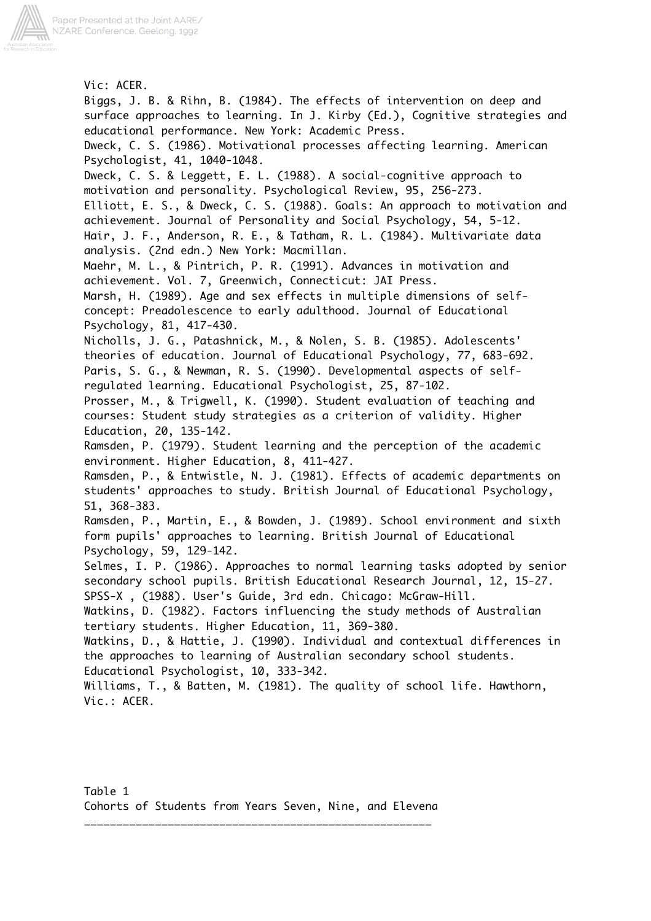

Vic: ACER. Biggs, J. B. & Rihn, B. (1984). The effects of intervention on deep and surface approaches to learning. In J. Kirby (Ed.), Cognitive strategies and educational performance. New York: Academic Press. Dweck, C. S. (1986). Motivational processes affecting learning. American Psychologist, 41, 1040-1048. Dweck, C. S. & Leggett, E. L. (1988). A social-cognitive approach to motivation and personality. Psychological Review, 95, 256-273. Elliott, E. S., & Dweck, C. S. (1988). Goals: An approach to motivation and achievement. Journal of Personality and Social Psychology, 54, 5-12. Hair, J. F., Anderson, R. E., & Tatham, R. L. (1984). Multivariate data analysis. (2nd edn.) New York: Macmillan. Maehr, M. L., & Pintrich, P. R. (1991). Advances in motivation and achievement. Vol. 7, Greenwich, Connecticut: JAI Press. Marsh, H. (1989). Age and sex effects in multiple dimensions of selfconcept: Preadolescence to early adulthood. Journal of Educational Psychology, 81, 417-430. Nicholls, J. G., Patashnick, M., & Nolen, S. B. (1985). Adolescents' theories of education. Journal of Educational Psychology, 77, 683-692. Paris, S. G., & Newman, R. S. (1990). Developmental aspects of selfregulated learning. Educational Psychologist, 25, 87-102. Prosser, M., & Trigwell, K. (1990). Student evaluation of teaching and courses: Student study strategies as a criterion of validity. Higher Education, 20, 135-142. Ramsden, P. (1979). Student learning and the perception of the academic environment. Higher Education, 8, 411-427. Ramsden, P., & Entwistle, N. J. (1981). Effects of academic departments on students' approaches to study. British Journal of Educational Psychology, 51, 368-383. Ramsden, P., Martin, E., & Bowden, J. (1989). School environment and sixth form pupils' approaches to learning. British Journal of Educational Psychology, 59, 129-142. Selmes, I. P. (1986). Approaches to normal learning tasks adopted by senior secondary school pupils. British Educational Research Journal, 12, 15-27. SPSS-X , (1988). User's Guide, 3rd edn. Chicago: McGraw-Hill. Watkins, D. (1982). Factors influencing the study methods of Australian tertiary students. Higher Education, 11, 369-380. Watkins, D., & Hattie, J. (1990). Individual and contextual differences in the approaches to learning of Australian secondary school students. Educational Psychologist, 10, 333-342. Williams, T., & Batten, M. (1981). The quality of school life. Hawthorn, Vic.: ACER.

\_\_\_\_\_\_\_\_\_\_\_\_\_\_\_\_\_\_\_\_\_\_\_\_\_\_\_\_\_\_\_\_\_\_\_\_\_\_\_\_\_\_\_\_\_\_\_\_\_\_\_\_\_\_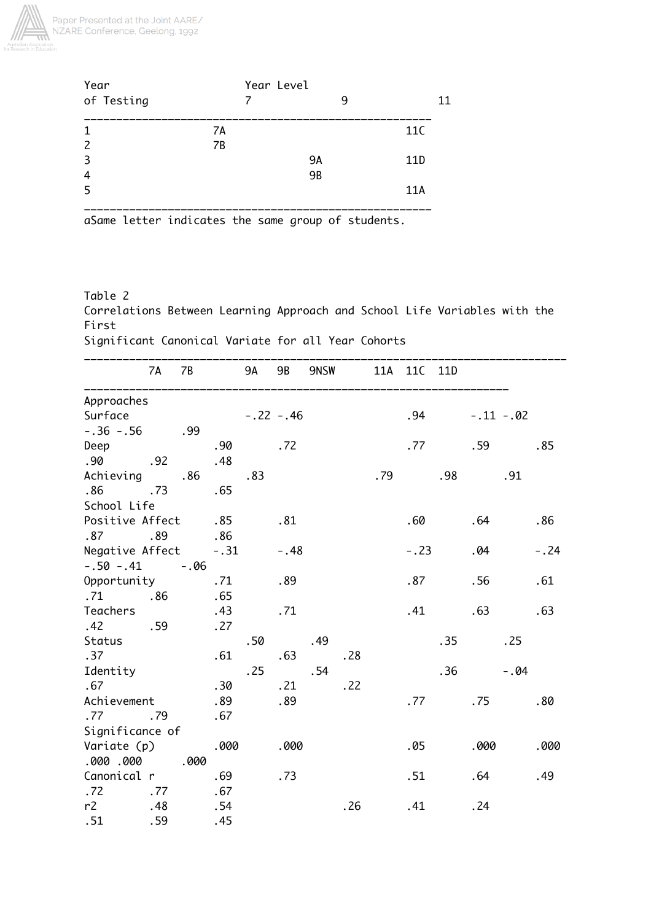

| Year          |    | Year Level |   |                 |
|---------------|----|------------|---|-----------------|
| of Testing    |    |            | q | 11              |
|               | 7A |            |   | 11C             |
| $\mathcal{L}$ | 7B |            |   |                 |
| -3            |    | <b>9A</b>  |   | 11 <sub>D</sub> |
| 4             |    | <b>9B</b>  |   |                 |
| -5            |    |            |   | 11A             |
|               |    |            |   |                 |

aSame letter indicates the same group of students.

Table 2 Correlations Between Learning Approach and School Life Variables with the First Significant Canonical Variate for all Year Cohorts

|                 | 7A  | 7B     |        | 9A  | 9B         | 9NSW |     |      | 11A 11C 11D |     |            |        |        |
|-----------------|-----|--------|--------|-----|------------|------|-----|------|-------------|-----|------------|--------|--------|
| Approaches      |     |        |        |     |            |      |     |      |             |     |            |        |        |
| Surface         |     |        |        |     | $-.22-.46$ |      |     |      | .94         |     | $-.11-.02$ |        |        |
| $-.36-.56$      |     | .99    |        |     |            |      |     |      |             |     |            |        |        |
| Deep            |     |        | .90    |     | .72        |      |     |      | .77         |     | .59        |        | .85    |
| .90             | .92 |        | .48    |     |            |      |     |      |             |     |            |        |        |
| Achieving       |     | .86    |        | .83 |            |      |     | . 79 |             | .98 |            | .91    |        |
| .86             | .73 |        | .65    |     |            |      |     |      |             |     |            |        |        |
| School Life     |     |        |        |     |            |      |     |      |             |     |            |        |        |
| Positive Affect |     |        | .85    |     | .81        |      |     |      | .60         |     | .64        |        | .86    |
| .87             | .89 |        | .86    |     |            |      |     |      |             |     |            |        |        |
| Negative Affect |     |        | $-.31$ |     | $-.48$     |      |     |      | $-.23$      |     | .04        |        | $-.24$ |
| $-.50-.41$      |     | $-.06$ |        |     |            |      |     |      |             |     |            |        |        |
| Opportunity     |     |        | .71    |     | .89        |      |     |      | .87         |     | .56        |        | .61    |
| .71             | .86 |        | .65    |     |            |      |     |      |             |     |            |        |        |
| Teachers        |     |        | .43    |     | .71        |      |     |      | .41         |     | .63        |        | .63    |
| .42             | .59 |        | .27    |     |            |      |     |      |             |     |            |        |        |
| Status          |     |        |        | .50 |            | .49  |     |      |             | .35 |            | .25    |        |
| .37             |     |        | .61    |     | .63        |      | .28 |      |             |     |            |        |        |
| Identity        |     |        |        | .25 |            | .54  |     |      |             | .36 |            | $-.04$ |        |
| .67             |     |        | .30    |     | .21        |      | .22 |      |             |     |            |        |        |
| Achievement     |     |        | .89    |     | .89        |      |     |      | .77         |     | .75        |        | .80    |
| .77             | .79 |        | .67    |     |            |      |     |      |             |     |            |        |        |
| Significance of |     |        |        |     |            |      |     |      |             |     |            |        |        |
| Variate (p)     |     |        | .000   |     | .000       |      |     |      | .05         |     | .000       |        | .000   |
| .000.000        |     | .000   |        |     |            |      |     |      |             |     |            |        |        |
| Canonical r     |     |        | .69    |     | .73        |      |     |      | .51         |     | .64        |        | .49    |
| .72             | .77 |        | .67    |     |            |      |     |      |             |     |            |        |        |
| r2              | .48 |        | .54    |     |            |      | .26 |      | .41         |     | .24        |        |        |
| .51             | .59 |        | .45    |     |            |      |     |      |             |     |            |        |        |